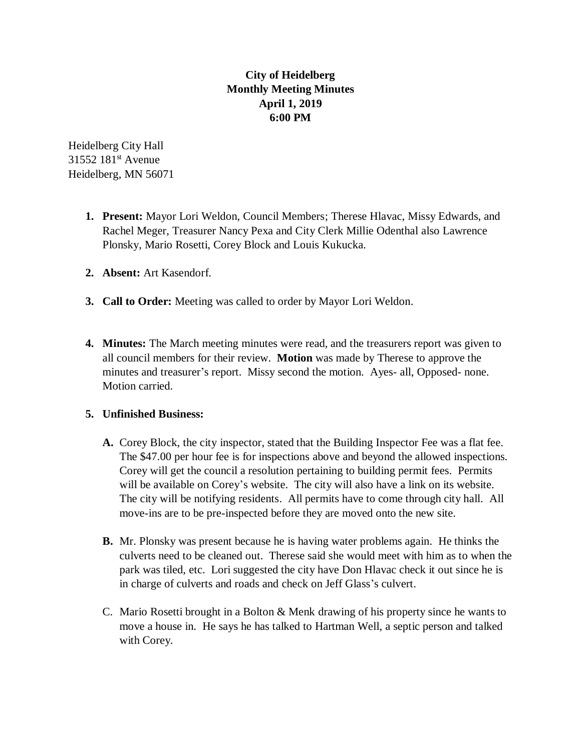## **City of Heidelberg Monthly Meeting Minutes April 1, 2019 6:00 PM**

Heidelberg City Hall 31552 181<sup>st</sup> Avenue Heidelberg, MN 56071

- **1. Present:** Mayor Lori Weldon, Council Members; Therese Hlavac, Missy Edwards, and Rachel Meger, Treasurer Nancy Pexa and City Clerk Millie Odenthal also Lawrence Plonsky, Mario Rosetti, Corey Block and Louis Kukucka.
- **2. Absent:** Art Kasendorf.
- **3. Call to Order:** Meeting was called to order by Mayor Lori Weldon.
- **4. Minutes:** The March meeting minutes were read, and the treasurers report was given to all council members for their review. **Motion** was made by Therese to approve the minutes and treasurer's report. Missy second the motion. Ayes- all, Opposed- none. Motion carried.

## **5. Unfinished Business:**

- **A.** Corey Block, the city inspector, stated that the Building Inspector Fee was a flat fee. The \$47.00 per hour fee is for inspections above and beyond the allowed inspections. Corey will get the council a resolution pertaining to building permit fees. Permits will be available on Corey's website. The city will also have a link on its website. The city will be notifying residents. All permits have to come through city hall. All move-ins are to be pre-inspected before they are moved onto the new site.
- **B.** Mr. Plonsky was present because he is having water problems again. He thinks the culverts need to be cleaned out. Therese said she would meet with him as to when the park was tiled, etc. Lori suggested the city have Don Hlavac check it out since he is in charge of culverts and roads and check on Jeff Glass's culvert.
- C. Mario Rosetti brought in a Bolton & Menk drawing of his property since he wants to move a house in. He says he has talked to Hartman Well, a septic person and talked with Corey.